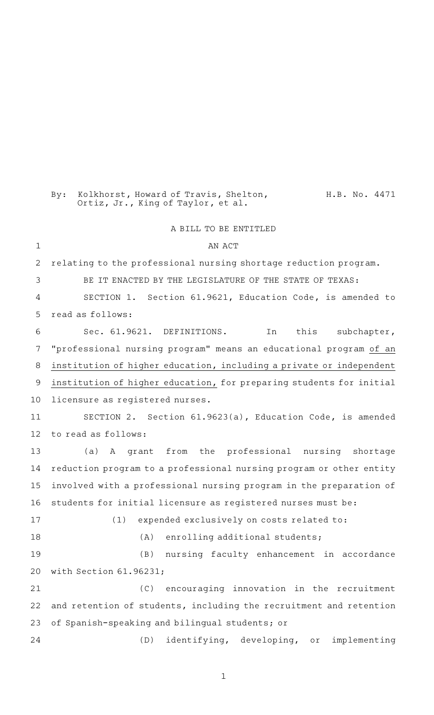By: Kolkhorst, Howard of Travis, Shelton, H.B. No. 4471 Ortiz, Jr., King of Taylor, et al.

## A BILL TO BE ENTITLED

AN ACT relating to the professional nursing shortage reduction program. BE IT ENACTED BY THE LEGISLATURE OF THE STATE OF TEXAS: SECTION 1. Section 61.9621, Education Code, is amended to read as follows: Sec. 61.9621. DEFINITIONS. In this subchapter, "professional nursing program" means an educational program of an institution of higher education, including a private or independent institution of higher education, for preparing students for initial licensure as registered nurses. SECTION 2. Section 61.9623(a), Education Code, is amended to read as follows: (a)AAA grant from the professional nursing shortage reduction program to a professional nursing program or other entity involved with a professional nursing program in the preparation of students for initial licensure as registered nurses must be:  $(1)$  expended exclusively on costs related to: (A) enrolling additional students; (B) nursing faculty enhancement in accordance with Section 61.96231;  $(C)$  encouraging innovation in the recruitment and retention of students, including the recruitment and retention of Spanish-speaking and bilingual students; or (D) identifying, developing, or implementing 1 2 3 4 5 6 7 8 9 10 11 12 13 14 15 16 17 18 19 20 21 22 23 24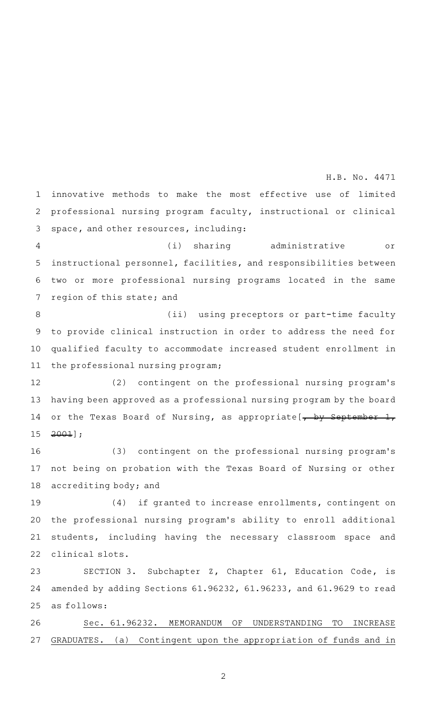innovative methods to make the most effective use of limited professional nursing program faculty, instructional or clinical space, and other resources, including: (i) sharing administrative or instructional personnel, facilities, and responsibilities between two or more professional nursing programs located in the same region of this state; and (ii) using preceptors or part-time faculty to provide clinical instruction in order to address the need for qualified faculty to accommodate increased student enrollment in the professional nursing program; (2) contingent on the professional nursing program's having been approved as a professional nursing program by the board or the Texas Board of Nursing, as appropriate  $\frac{1}{1}$  by September 1, 2001]; (3) contingent on the professional nursing program's not being on probation with the Texas Board of Nursing or other accrediting body; and (4) if granted to increase enrollments, contingent on the professional nursing program 's ability to enroll additional students, including having the necessary classroom space and clinical slots. SECTION 3. Subchapter Z, Chapter 61, Education Code, is amended by adding Sections 61.96232, 61.96233, and 61.9629 to read as follows: Sec. 61.96232. MEMORANDUM OF UNDERSTANDING TO INCREASE 1 2 3 4 5 6 7 8 9 10 11 12 13 14 15 16 17 18 19 20 21 22 23 24 25 26 H.B. No. 4471

2

GRADUATES. (a) Contingent upon the appropriation of funds and in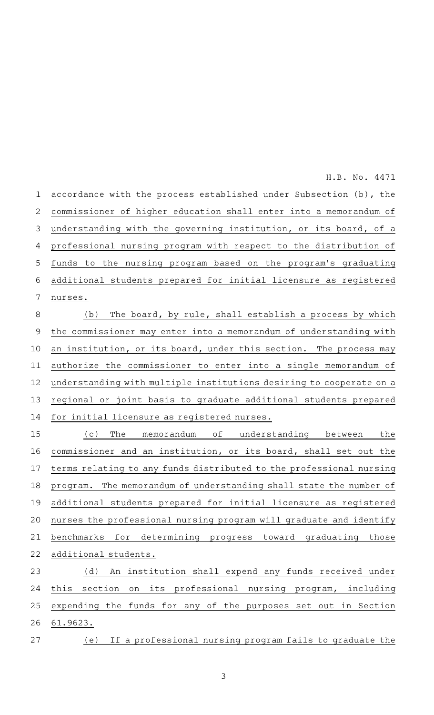H.B. No. 4471

accordance with the process established under Subsection (b), the commissioner of higher education shall enter into a memorandum of understanding with the governing institution, or its board, of a professional nursing program with respect to the distribution of funds to the nursing program based on the program's graduating additional students prepared for initial licensure as registered nurses. (b) The board, by rule, shall establish a process by which the commissioner may enter into a memorandum of understanding with an institution, or its board, under this section. The process may authorize the commissioner to enter into a single memorandum of understanding with multiple institutions desiring to cooperate on a regional or joint basis to graduate additional students prepared for initial licensure as registered nurses. (c) The memorandum of understanding between the commissioner and an institution, or its board, shall set out the terms relating to any funds distributed to the professional nursing program. The memorandum of understanding shall state the number of additional students prepared for initial licensure as registered nurses the professional nursing program will graduate and identify benchmarks for determining progress toward graduating those additional students. (d) An institution shall expend any funds received under this section on its professional nursing program, including expending the funds for any of the purposes set out in Section 61.9623. (e) If a professional nursing program fails to graduate the 1 2 3 4 5 6 7 8 9 10 11 12 13 14 15 16 17 18 19 20 21 22 23 24 25 26 27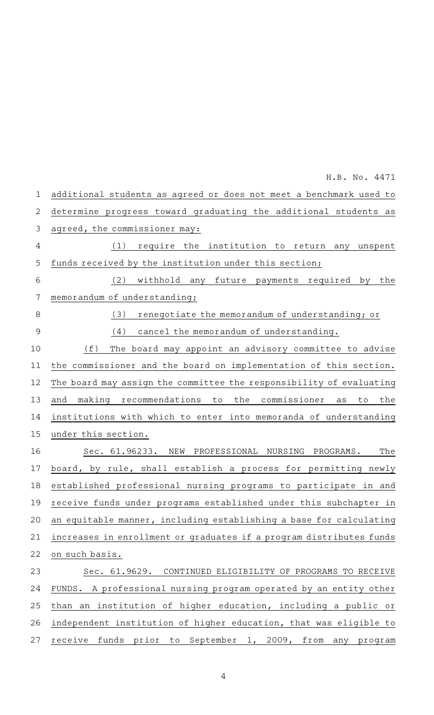additional students as agreed or does not meet a benchmark used to determine progress toward graduating the additional students as agreed, the commissioner may: (1) require the institution to return any unspent funds received by the institution under this section; (2) withhold any future payments required by the memorandum of understanding; (3) renegotiate the memorandum of understanding; or  $(4)$  cancel the memorandum of understanding. (f) The board may appoint an advisory committee to advise the commissioner and the board on implementation of this section. The board may assign the committee the responsibility of evaluating and making recommendations to the commissioner as to the institutions with which to enter into memoranda of understanding under this section. Sec. 61.96233. NEW PROFESSIONAL NURSING PROGRAMS. The board, by rule, shall establish a process for permitting newly established professional nursing programs to participate in and receive funds under programs established under this subchapter in an equitable manner, including establishing a base for calculating increases in enrollment or graduates if a program distributes funds on such basis. Sec. 61.9629. CONTINUED ELIGIBILITY OF PROGRAMS TO RECEIVE FUNDS. A professional nursing program operated by an entity other than an institution of higher education, including a public or independent institution of higher education, that was eligible to receive funds prior to September 1, 2009, from any program 1 2 3 4 5 6 7 8 9 10 11 12 13 14 15 16 17 18 19 20 21 22 23 24 25 26 27 H.B. No. 4471